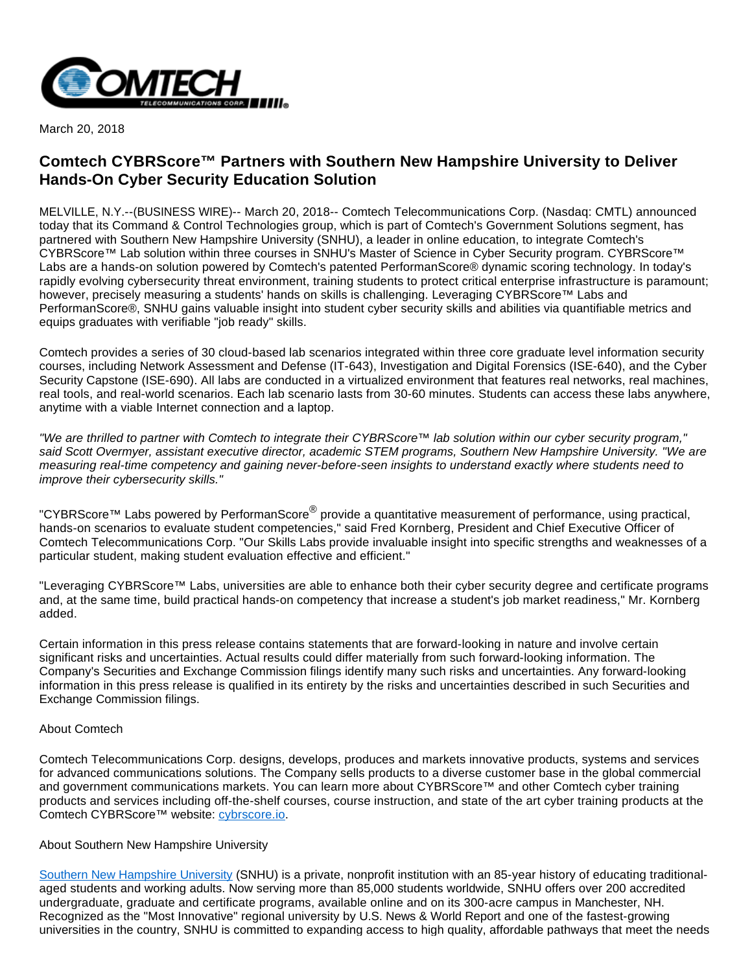

March 20, 2018

## **Comtech CYBRScore™ Partners with Southern New Hampshire University to Deliver Hands-On Cyber Security Education Solution**

MELVILLE, N.Y.--(BUSINESS WIRE)-- March 20, 2018-- Comtech Telecommunications Corp. (Nasdaq: CMTL) announced today that its Command & Control Technologies group, which is part of Comtech's Government Solutions segment, has partnered with Southern New Hampshire University (SNHU), a leader in online education, to integrate Comtech's CYBRScore™ Lab solution within three courses in SNHU's Master of Science in Cyber Security program. CYBRScore™ Labs are a hands-on solution powered by Comtech's patented PerformanScore® dynamic scoring technology. In today's rapidly evolving cybersecurity threat environment, training students to protect critical enterprise infrastructure is paramount; however, precisely measuring a students' hands on skills is challenging. Leveraging CYBRScore™ Labs and PerformanScore®, SNHU gains valuable insight into student cyber security skills and abilities via quantifiable metrics and equips graduates with verifiable "job ready" skills.

Comtech provides a series of 30 cloud-based lab scenarios integrated within three core graduate level information security courses, including Network Assessment and Defense (IT-643), Investigation and Digital Forensics (ISE-640), and the Cyber Security Capstone (ISE-690). All labs are conducted in a virtualized environment that features real networks, real machines, real tools, and real-world scenarios. Each lab scenario lasts from 30-60 minutes. Students can access these labs anywhere, anytime with a viable Internet connection and a laptop.

"We are thrilled to partner with Comtech to integrate their CYBRScore™ lab solution within our cyber security program," said Scott Overmyer, assistant executive director, academic STEM programs, Southern New Hampshire University. "We are measuring real-time competency and gaining never-before-seen insights to understand exactly where students need to improve their cybersecurity skills."

"CYBRScore™ Labs powered by PerformanScore® provide a quantitative measurement of performance, using practical, hands-on scenarios to evaluate student competencies," said Fred Kornberg, President and Chief Executive Officer of Comtech Telecommunications Corp. "Our Skills Labs provide invaluable insight into specific strengths and weaknesses of a particular student, making student evaluation effective and efficient."

"Leveraging CYBRScore™ Labs, universities are able to enhance both their cyber security degree and certificate programs and, at the same time, build practical hands-on competency that increase a student's job market readiness," Mr. Kornberg added.

Certain information in this press release contains statements that are forward-looking in nature and involve certain significant risks and uncertainties. Actual results could differ materially from such forward-looking information. The Company's Securities and Exchange Commission filings identify many such risks and uncertainties. Any forward-looking information in this press release is qualified in its entirety by the risks and uncertainties described in such Securities and Exchange Commission filings.

## About Comtech

Comtech Telecommunications Corp. designs, develops, produces and markets innovative products, systems and services for advanced communications solutions. The Company sells products to a diverse customer base in the global commercial and government communications markets. You can learn more about CYBRScore™ and other Comtech cyber training products and services including off-the-shelf courses, course instruction, and state of the art cyber training products at the Comtech CYBRScore™ website: [cybrscore.io](http://cts.businesswire.com/ct/CT?id=smartlink&url=http%3A%2F%2Fcybrscore.io&esheet=51775587&newsitemid=20180320005298&lan=en-US&anchor=cybrscore.io&index=1&md5=556540ff9e5cf9824deeab9c9ed11d62).

## About Southern New Hampshire University

[Southern New Hampshire University](http://cts.businesswire.com/ct/CT?id=smartlink&url=http%3A%2F%2Fwww.snhu.edu%2F&esheet=51775587&newsitemid=20180320005298&lan=en-US&anchor=Southern+New+Hampshire+University&index=2&md5=e29f19b7cb70dc4d10f24630f77e803a) (SNHU) is a private, nonprofit institution with an 85-year history of educating traditionalaged students and working adults. Now serving more than 85,000 students worldwide, SNHU offers over 200 accredited undergraduate, graduate and certificate programs, available online and on its 300-acre campus in Manchester, NH. Recognized as the "Most Innovative" regional university by U.S. News & World Report and one of the fastest-growing universities in the country, SNHU is committed to expanding access to high quality, affordable pathways that meet the needs